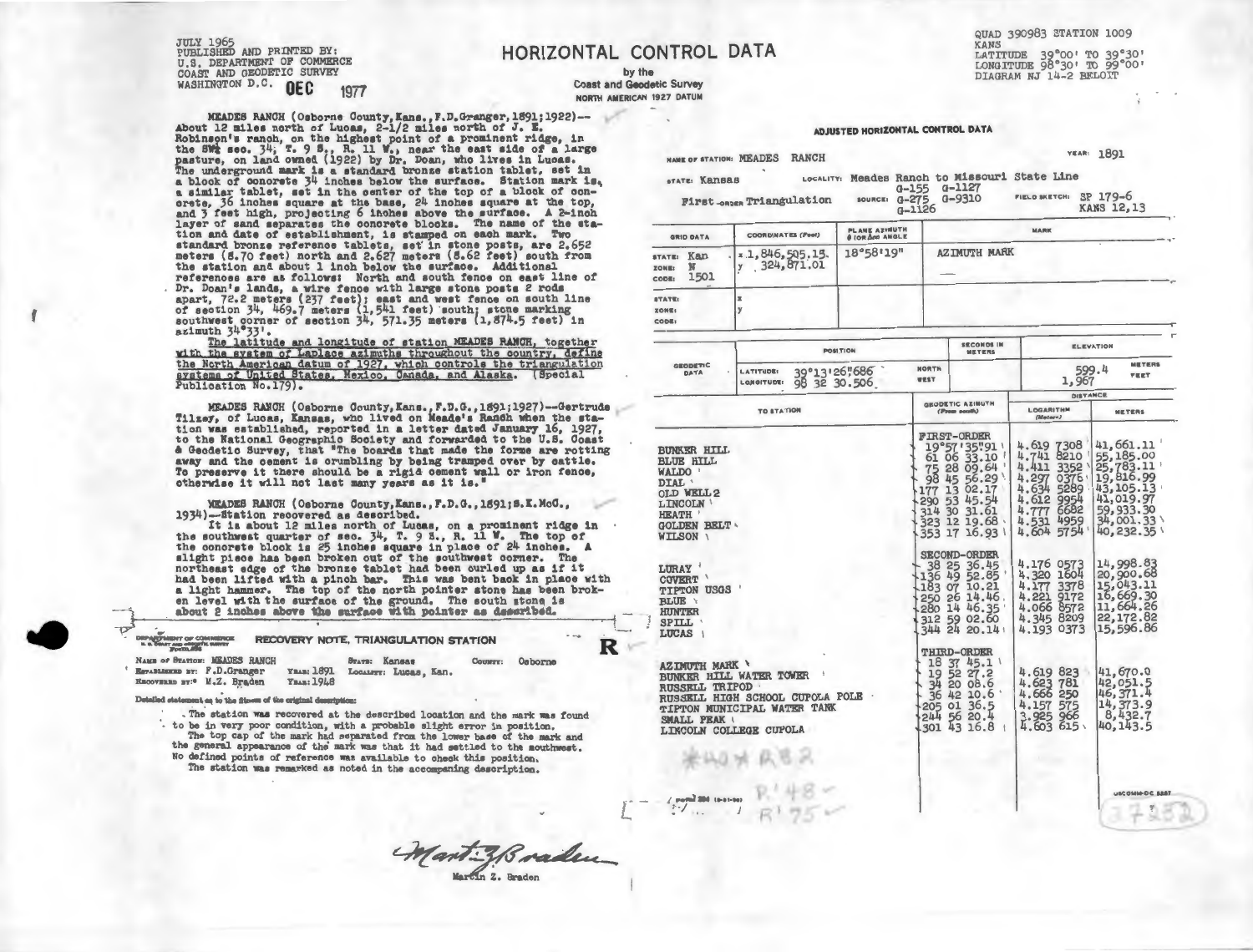JULY 1965 PUBLISHED AND PRINTED BY: U.S. DEPARTMENT OF COMMERCE COAST AND GEODETIC SURVEY WASHINGTON D.C. **OEC** 1977

**MEADES RANCH (Osborne Oounty,Kans.,F.D.Granger,1891;1922)-- About** 12 **m1les** north *of* **Luoas,** 2-1/2 **miles** north *of* **J. E.**  Robinson's ranch, on the highest point of a prominent ridge, in<br>the SW2 sec. 34; T. 9 S., R. 11 W., near the east side of a large<br>pasture, on land owned (1922) by Dr. Doan, who lives in Lucas.<br>The underground mark is a sta a s1m1lar tablet, set 1n the center *of* the top *of* a blook *of* oon- orete, 36 1nohea square at the base, 24 1nohes square at the top, and 3 feet high, proJeot1ng 6 1nohes above the surfaoe. **A** 2-1noh layer of sand separates the conorete blocks. The name of the sta-<br>tion and date of establishment, is stamped on each mark. Two standard bronze reference tablets, set' 1n stone posts, are 2.652 meters (S.70 feet) north and 2.627 meters (S.62 feet) south from the station and about 1 1noh below the surface. Additional references are as follows: North and south fence on east line of<br>Dr. Doan's lands, a wire fence with large stone posts 2 rods<br>apart, 72.2 meters (237 feet); east and west fence on south line<br>of section 34, 469.7 meters (1,

the North American datum of 1927, which controls the triangulation systems of United States, Mexico, Canada, and Alaska. (Special Publication No.179).

MEADES RANCH (Osborne 0ounty,Kans.,F.D.G.,1891;1927)--Gertrude T1lzey, *of* Luoas, Kansas, who lived on Meade's Ranch when the station was eetabl1shed, reported 1n a letter dated January 16, 1927, to the National Geographic Soo1ety and forwarded to the U.S. Coast & Oeodet1o Survey, that "The boards that made the forms are rotting away and the cement 1s crumbling by being tramped over by cattle. To preserve 1t there should be a rigid cement wall or iron fence, otherwise 1t will not last many years as 1t is.•

MEADES RANCH (Osborne County, Kans., F.D.G., 1691; S.K. McG., 1934)--Station recovered as described.

1934)--Station recovered as described.<br>It is about 12 miles north of Lucas, on a prominent ridge in<br>the southwest quarter of sec.  $34$ , T. 9 S., R. 11 W. The top of<br>the concrete block is 25 inches square in place of 24 in had been lifted with a pinoh bar. This was bent baok in place with a light hammer. The top of the north pointer stone has been broken level with the surface of the ground. The south stone is about 2 inches above the surface with pointer as described.

| a light hammer. The top of the north pointer stone has been brok-<br>en level with the surface of the ground. The south stone is<br>about 2 inches above the surface with pointer as desaribed.<br><b>STATISTICS</b>                                                                                                                                                                                 |                     |        |
|------------------------------------------------------------------------------------------------------------------------------------------------------------------------------------------------------------------------------------------------------------------------------------------------------------------------------------------------------------------------------------------------------|---------------------|--------|
| セ<br>RECOVERY NOTE, TRIANGULATION STATION<br><b>DRPARTMENT OF COMMERCE</b><br>IL S. DEAST AND GENDETIC SUPPLY                                                                                                                                                                                                                                                                                        |                     | $-0.5$ |
| NAME OF BEATION: MEADES RANCH<br>STATE: Kansas<br><b>YBAR: 1891</b><br>Establishe By: F.D.Granger<br>LOCALITY: LUCAS, Kan.<br>RECOVERED BY: <sup>0</sup> M.Z. Braden<br><b>Үван: 1948</b>                                                                                                                                                                                                            | Osborne<br>Country: |        |
| $\mathbf{v}_1, \mathbf{v}_2, \mathbf{v}_3, \mathbf{v}_4, \mathbf{v}_5, \mathbf{v}_6, \mathbf{v}_7, \mathbf{v}_8, \mathbf{v}_9, \mathbf{v}_1, \mathbf{v}_2, \mathbf{v}_3, \mathbf{v}_4, \mathbf{v}_5, \mathbf{v}_6, \mathbf{v}_7, \mathbf{v}_8, \mathbf{v}_9, \mathbf{v}_9, \mathbf{v}_9, \mathbf{v}_1, \mathbf{v}_2, \mathbf{v}_3, \mathbf{v}_1, \mathbf{v}_2, \mathbf{v}_3, \mathbf{v}_4, \mathbf{$ |                     |        |

Detailed statement as to the fitness of the original description:

. The station was recovered at the described location and the mark was found to be in very poor condition, with a probable slight error in position. The top cap of the mark had separated from the lower base of the mark and the general appearance of the mark was that it had settled to the mouthwest. No defined points of reference was available to check this position. The station was remarked as noted in the accompaning description.

**HORIZONTAL CONTROL DATA** 

by the **Coast and Geodetic Survey NORTH AMERICAN** 1927 **DATUM**  QUAD 390983 STATION 1009 **LATITUDE 39°00' TO 39°30'**<br>LONGITUDE 98°30' TO 99°00' DIAGRAM NJ 14-2 BELOIT

AD UISTED HORIZONTAL CONTROL DATA YEAR: 1891 **NAME OF STATION: MEADES RANCH** Meades Ranch to Missouri State Line G-155 G-1127<br>source: G-275 G-9310 **,1ELO SKETCH: SP 179-6**  First<sub>cence</sub> Triangulation KANS 12,13 G-1126 **MARK GRID DATA** COORDINATES (Peel) **PLANt: AZIMUTH 8 IOAAa) ANGLE**  , **STATE: Kan . x** 1,846,505.15. 18°58'19" AZIMUTH MARK<br> **xone:** N . 324,871.01 **ZONt::** N - **COOl:1** 1501 - .-.<br>.<br>. **STATt:: ZONIE I**  y **CODl!I ELEVATION POSl:TION SECONDS IN METERS METERS NORTH** 39°13'26"686 **GEDDIE.TIC DATA LATITUDE:**  599 . 4 1,967 **l"EET**  WEST 98 32 30.506 LOJIGITUDE: **DISTANCE GEODETIC AZIMUTH**<br> *(Press south)* **LOGAfUTHM TO STATION METERS {ll•f•n)**  FHR9-08026<br>19°57'35°:91<br>75 08 08 09.64<br>177 13 02.17<br>290 53 45.54<br>290 53 45.54<br>323 12 19.68<br>353 17 16.93 4.619 7308 | 41,661.11<br>4.741 8210 | 55,185.00<br>4.297 0376 | 19,816.99<br>4.634 5289 | 43,105.13<br>4.612 9954 | 41,019.97 BUNKER HILL BLUE HILL **WALDO** ' DIAL OLD WELL2 LINCOLN ' 4.777 6682 59,933.30<br>4.531 4959 34,001.33<br>4.604 5754 40,232.35 **HEATH** GOLDEN BELT SECOND-ORDER 4.176 0573 4.320 16o4 4 .177 3378 4.221 9172 4.066 8572 4.345 8209 4.193 0373 14,998.83 20,900 . 68 15,043.11 16,669.30 LURAY 38 25 36.45 136 49 52.85 ' COVERT ' 183 07 10.21 TIPTON USGS BLUE \ 250 26 14.46 . 280 14 46.35 312 59 02.6o 344 24 20.14 • 11,664.26 **HUNTER** 22,172.82 SPILL 15,596.86 **LUCAS** THIRD-ORDER<br>
18 37 45.1<br>
39 52 27.2<br>
34 20 08.6<br>
36 42 10.6<br>
205 01 36.5<br>
244 56 20.4<br>
301 43 16.8 **AZIMUTH MARK \** 41,670.0 BUNKER HILL WATER TOWER<br>RUSSELL TRIPOD 4.619 823<br>4.623 781<br>4.666 250<br>4.157 575<br>3.925 966<br>4.603 615 42,051.5 46,371.4 RUSSELL TRIPOD<br>RUSSELL HIGH SCHOOL CUPOLA POLE 14,373.9 TIPTON MUNICIPAL WATER TANK 8,432.7 SMALL PEAK \ 40,143.5 LINCOLN COLLEGE CUPOLA  $\begin{array}{l} \mathcal{L} \text{ would not to a non-} \\ \mathcal{L} \text{ is } \mathcal{L} \\ \mathcal{L} \text{ is } \mathcal{L} \end{array}$ USCOMM-DC 8387

) I L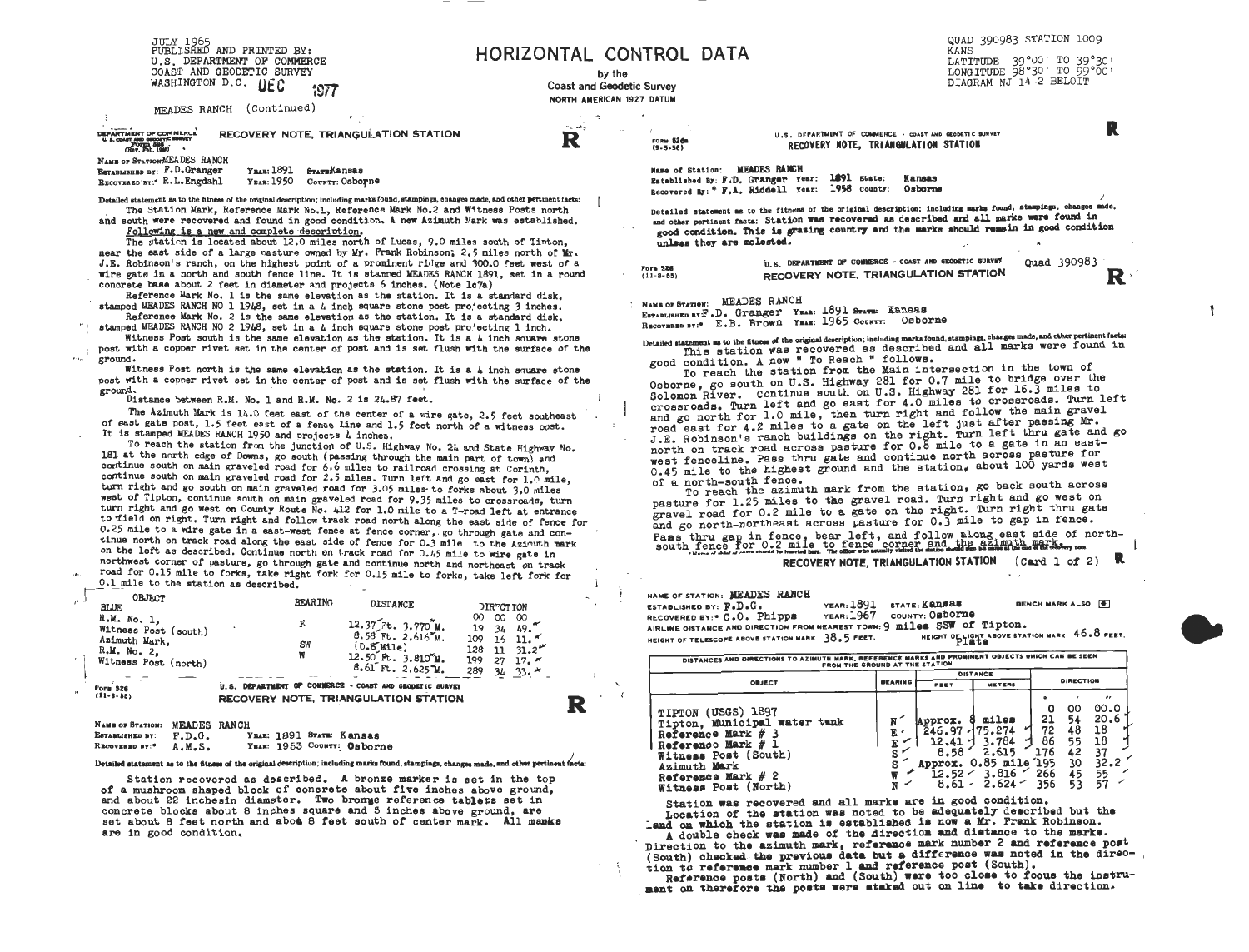JULY 1965<br>PUBLISHED AND PRINTED BY: U.S. DEPARTMENT OF COMMERCE COAST AND GEODETIC SURVEY WASHINGTON D.C. LIEC 1977

MEADES RANCH (Continued)

DEPARTMENT OF COMMERCE<br>U.S. COMP MID GEOGRAPHE SURVEY<br>(Roy, FORDD, 1986) RECOVERY NOTE, TRIANGULATION STATION

NAME OF STATION ASEA DES RANCH Ymar: 1891 STATE Kansas **ESTABLISHED BY: F.D.Granger** RECOVERED BY:\* R.L. Engdahl YEAR: 1950 COUNTY: Osborne

Detailed statement as to the fitness of the original description; including marks found, stampings, changes made, and other pertinent facts: The Station Mark, Reference Mark No.1, Reference Mark No.2 and Witness Posts north

and south were recovered and found in good condition. A new Azimuth Mark was established. Following is a new and complete description.

The station is located about 12.0 miles north of Lucas, 9.0 miles south of Tinton. near the east side of a large pasture owned by Mr. Frank Robinson, 2.5 miles north of Mr. J.E. Robinson's ranch, on the highest point of a prominent ridge and 300.0 feet west of a wire gate in a north and south fence line. It is stamped MEADES RANCH 1891, set in a round concrete base about 2 feet in diameter and projects 6 inches. (Note lc7a)

Reference Mark No. 1 is the same elevation as the station. It is a standard disk, stamped MEADES RANCH NO 1 1948, set in a 4 inch square stone post projecting 3 inches. Reference Mark No. 2 is the same elevation as the station. It is a standard disk,

stamped MEADES RANCH NO 2 1948, set in a 4 inch square stone post projecting 1 inch. Witness Post south is the same elevation as the station. It is a L inch souare stone

post with a copper rivet set in the center of post and is set flush with the surface of the *ground*.

Witness Post north is the same elevation as the station. It is a 4 inch square stone post with a copper rivet set in the center of post and is set flush with the surface of the ground.

Distance between R.M. No. 1 and R.M. No. 2 is 24.87 feet.

The Azimuth Mark is 14.0 feet east of the center of a wire gate, 2.5 feet southeast of east gate post, 1.5 feet east of a fence line and 1.5 feet north of a witness post. It is stamped MEADES RANCH 1950 and projects 4 inches.

To reach the station from the junction of U.S. Highway No. 24 and State Highway No. 181 at the north edge of Downs, go south (passing through the main part of town) and continue south on main graveled road for 6.6 miles to railroad crossing at Corinth. continue south on main graveled road for 2.5 miles. Turn left and go east for 1.0 mile, turn right and go south on main graveled road for 3.05 miles to forks about 3.0 miles west of Tipton, continue south on main graveled road for 9.35 miles to crossroads, turn turn right and go west on County Route No. 412 for 1.0 mile to a T-road left at entrance to field on right. Turn right and follow track road north along the east side of fence for 0.25 mile to a wire gate in a east-west fence at fence corner, go through gate and continue north on track road along the east side of fence for 0.3 mile to the Azimuth mark on the left as described. Continue north on track road for 0.45 mile to wire gate in northwest corner of pasture, go through gate and continue north and northeast on track road for 0.15 mile to forks, take right fork for 0.15 mile to forks, take left fork for

0.1 mile to the station as described.

نيين

| $M_{\rm{max}} = 0 - 0 - 0$                                                                                 | <b>DAMAU</b>                                                                                                |                                                                                                                                                 |                                                                                                                                                               |  |  |  |  |
|------------------------------------------------------------------------------------------------------------|-------------------------------------------------------------------------------------------------------------|-------------------------------------------------------------------------------------------------------------------------------------------------|---------------------------------------------------------------------------------------------------------------------------------------------------------------|--|--|--|--|
| <b>Form 526</b><br>$(11 - B - 55)$                                                                         | COMMERCE - COAST AND GRODETIC SURVEY<br><b>U.S. DEPARTMENT</b><br>œ<br>RECOVERY NOTE, TRIANGULATION STATION |                                                                                                                                                 |                                                                                                                                                               |  |  |  |  |
| <b>BLUE</b><br>R.M. No. 1,<br>Witness Post (south)<br>Azimuth Mark,<br>R.M. No. 2.<br>Witness Post (north) | E<br><b>SW</b><br>w                                                                                         | DISTANCE<br>12.37 7t. 3.770 M.<br>$8.58$ Ft. $2.616$ M.<br>$(0.8^{\circ}$ Mile)<br>$12.50$ Ft. $3.810$ <sup>e</sup> M.<br>$8.61$ Ft. $2.625$ M. | <b>DIRTCTION</b><br>œ<br>$\infty$<br>$\infty$<br>19<br>34<br>49.<br>109<br>16<br>11.7<br>128<br>11<br>31.2''<br>199<br>27<br>17.7<br>289<br>34<br>$33. \star$ |  |  |  |  |
| <b>OBJECT</b>                                                                                              | <b>BEARING</b>                                                                                              |                                                                                                                                                 |                                                                                                                                                               |  |  |  |  |

YEAR: 1891 STATE: Kansas ESTABLISHED BY:  $F.D.G.$ YEAR: 1953 COUNTY: Osborne A.M.S. RECOVERED BY:"

## Detailed statement as to the fitness of the original description; including marks found, stampings, changes made, and other pertinent factal

Station recovered as described. A bronze marker is set in the top of a mushroom shaped block of concrete about five inches above ground, and about 22 inchesin diameter. Two bronue reference tablets set in concrete blocks about 8 inches square and 5 inches above ground, are set about 8 feet north and about 8 feet south of center mark. All manks are in good condition.

HORIZONTAL CONTROL DATA

by the **Coast and Geodetic Survey** NORTH AMERICAN 1927 DATUM

 $m = 10$ 

R

QUAD 390983 STATION 1009 KANS LATITUDE 39°00' TO 39°30' LONG ITUDE 98°30' TO 99°00' DIAGRAM NJ 14-2 BELOIT

U.S. DEPARTMENT OF COMMERCE . COAST AND GEODETIC SURVEY RECOVERY NOTE. TRIANGULATION STATION

Name of Station: MEADES RANCH Established By: F.D. Granger Year: 1891 State: Kansas Recovered By: \* F.A. Riddell Year: 1958 County: Osborne

Detailed statement as to the fitness of the original description; including marks found, stampings, changes made, and other pertinent facts: Station was recovered as described and all marks were found in good condition. This is grasing country and the marks should remain in good condition unless they are molested.

U.S. DEPARTMENT OF COMMERCE - COAST AND GEODETIC SURVEY Quad 390983 RECOVERY NOTE. TRIANGULATION STATION

NAME OF STATION: MEADES RANCH

ESTABLISHED BTF.D. Granger YEAR: 1891 STATE: Kansas

RECOVERED BY:\* E.B. Brown YEAR: 1965 COUNTT: Osborne

Detailed statement as to the fitness of the original description; including marks found, stampings, changes made, and other pertinent facts: This station was recovered as described and all marks were found in good condition. A new " To Reach " follows.

To reach the station from the Main intersection in the town of Osborne, go south on U.S. Highway 281 for 0.7 mile to bridge over the Solomon River. Continue south on U.S. Highway 281 for 16.3 miles to crossroads. Turn left and go east for 4.0 miles to crossroads. Turn left and go north for 1.0 mile, then turn right and follow the main gravel road east for 4.2 miles to a gate on the left just after passing Mr. J.E. Robinson's ranch buildings on the right. Turn left thru gate and go north on track road across pasture for 0.8 mile to a gate in an eastwest fenceline. Pass thru gate and continue north across pasture for 0.45 mile to the highest ground and the station. about 100 yards west of a north-south fence.

To reach the azimuth mark from the station, go back south across pasture for 1.25 miles to the gravel road. Turn right and go west on gravel road for 0.2 mile to a gate on the right. Turn right thru gate and go north-northeast across pasture for 0.3 mile to gap in fence. Pass thru gap in fence, bear left, and follow along east side of north-<br>south fence for 0.2 mile to fence corner and the azimuth marks we RECOVERY NOTE, TRIANGULATION STATION  $(\text{Card } 1 \text{ of } 2)$ 

NAME OF STATION: MEADES RANCH

BENCH MARK ALSO [#] YEAR: 1891 STATE: KADSAS ESTABLISHED BY: F.D.G. YEAR: 1967 COUNTY: Osborne RECOVERED BY: \* C.O. Phipps AIRLINE OISTANCE AND DIRECTION FROM NEAREST TOWN: 9 miles SSW of Tipton. HEIGHT OF LIGHT ABOVE STATION MARK 46.8 FEET HEIGHT OF TELESCOPE ABOVE STATION MARK 38.5 FEET.

| DISTANCES AND DIRECTIONS TO AZIMUTH MARK, REFERENCE MARKS AND PROMINENT OBJECTS WHICH CAN BE SEEN<br>FROM THE GROUND AT THE STATION                                                      |                |                                                       |                                                                                      |                                          |                                              |                                                                         |  |  |  |  |
|------------------------------------------------------------------------------------------------------------------------------------------------------------------------------------------|----------------|-------------------------------------------------------|--------------------------------------------------------------------------------------|------------------------------------------|----------------------------------------------|-------------------------------------------------------------------------|--|--|--|--|
|                                                                                                                                                                                          | <b>BEARING</b> | <b>DISTANCE</b>                                       |                                                                                      |                                          |                                              |                                                                         |  |  |  |  |
| OBJECT                                                                                                                                                                                   |                | <b>FEET</b>                                           | <b>METERS</b>                                                                        |                                          | DIRECTION                                    |                                                                         |  |  |  |  |
| TIPTON (USGS) 1897<br>Tipton, Municipal water tank<br>Reference Mark $#$ 3<br>i Reference Mark #<br>Witness Post (South)<br>Azimuth Mark<br>Reference Mark $#$ 2<br>Witness Post (North) | Ε,             | Approx.<br>246.97<br>8.58<br>12.52 $\sim$<br>$8.61 -$ | miles<br>$-175.274$<br>3.784<br>2.615<br>Approx. 0.85 mile 195<br>3.816<br>$2.624 -$ | o<br>21<br>72<br>86<br>176<br>266<br>356 | oo<br>54<br>48<br>55<br>42<br>30<br>45<br>53 | $^{\prime\prime}$<br>00.0<br>20.6<br>18<br>18<br>37<br>32.2<br>55<br>57 |  |  |  |  |

Station was recovered and all marks are in good condition. Location of the station was noted to be adequately described but the land on which the station is established is now a Mr. Frank Robinson.

A double check was made of the direction and distance to the marks. Direction to the azimuth mark, reference mark number 2 and reference post (South) checked the previous data but a difference was noted in the direotion to reference mark number 1 and reference post (South).

Reference posts (North) and (South) were too close to focus the instrument on therefore the posts were staked out on line to take direction.

FORM 526

Form  $526$ <br>(11-8-55)

R

R

 $\mathfrak{g}$